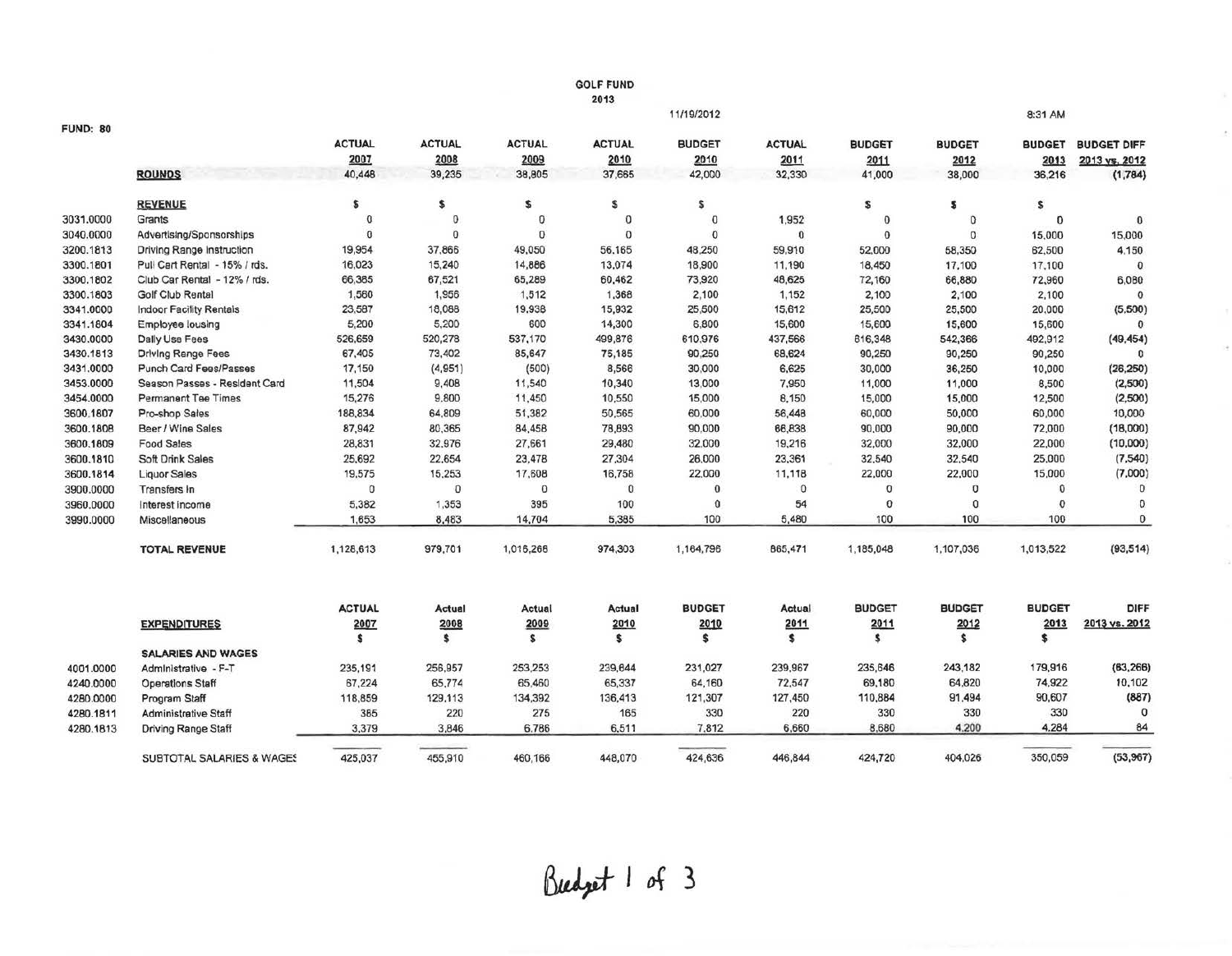|                 |                                  |                |               |               | <b>GOLF FUND</b> |               |               |               |               |               |                    |
|-----------------|----------------------------------|----------------|---------------|---------------|------------------|---------------|---------------|---------------|---------------|---------------|--------------------|
|                 |                                  |                |               |               | 2013             |               |               |               |               |               |                    |
|                 |                                  |                |               |               |                  | 11/19/2012    |               |               |               | 8:31 AM       |                    |
| <b>FUND: 80</b> |                                  |                |               |               |                  |               |               |               |               |               |                    |
|                 |                                  | <b>ACTUAL</b>  | <b>ACTUAL</b> | <b>ACTUAL</b> | <b>ACTUAL</b>    | <b>BUDGET</b> | <b>ACTUAL</b> | <b>BUDGET</b> | <b>BUDGET</b> | <b>BUDGET</b> | <b>BUDGET DIFF</b> |
|                 |                                  | 2007           | 2008          | 2009          | 2010             | 2010          | 2011          | 2011          | 2012          | 2013          | 2013 vs. 2012      |
|                 | <b>ROUNDS</b>                    | 40,448         | 39,235        | 38,805        | 37,665           | 42,000        | 32,330        | 41,000        | 38,000        | 36,216        | (1,784)            |
|                 | <b>REVENUE</b>                   | \$             | \$            | \$            | Ś                | \$            |               | S             | £             | \$            |                    |
| 3031.0000       | Grants                           | $^{\circ}$     | 0             | 0             | $\mathbf 0$      | $\pmb{0}$     | 1,952         | $\bf{0}$      | $\circ$       | 0             | $\bf{0}$           |
| 3040.0000       | Advertising/Sponsorships         | $\overline{0}$ | $\mathbf{0}$  | $\theta$      | $\theta$         | $\Omega$      | $\bf{0}$      | $\Omega$      | $\Omega$      | 15,000        | 15,000             |
| 3200.1813       | <b>Driving Range Instruction</b> | 19,954         | 37,866        | 49,050        | 56,165           | 48,250        | 59,910        | 52,000        | 58,350        | 62,500        | 4,150              |
| 3300.1801       | Pull Cart Rental - 15% / rds.    | 16,023         | 15,240        | 14,886        | 13,074           | 18,900        | 11,190        | 18,450        | 17,100        | 17,100        | $\mathbf 0$        |
| 3300.1802       | Club Car Rental - 12% / rds.     | 66,385         | 67,521        | 65,289        | 60,462           | 73,920        | 48,625        | 72,160        | 66,880        | 72,960        | 6,080              |
| 3300.1803       | <b>Golf Club Rental</b>          | 1,560          | 1,956         | 1,512         | 1,368            | 2,100         | 1,152         | 2,100         | 2,100         | 2,100         | $\Omega$           |
| 3341.0000       | <b>Indoor Facility Rentals</b>   | 23,587         | 18,088        | 19.938        | 15,932           | 25,500        | 15,612        | 25,500        | 25,500        | 20,000        | (5,500)            |
| 3341.1804       | Employee lousing                 | 5,200          | 5,200         | 600           | 14,300           | 6,800         | 15,600        | 15,600        | 15,600        | 15,600        | $\mathbf{0}$       |
| 3430.0000       | <b>Dally Use Fees</b>            | 526,659        | 520,278       | 537,170       | 499,876          | 610,976       | 437,566       | 616,348       | 542,366       | 492,912       | (49, 454)          |
| 3430.1813       | <b>Driving Range Fees</b>        | 67,405         | 73,402        | 85,647        | 75,185           | 90,250        | 68,624        | 90,250        | 90,250        | 90,250        | $\Omega$           |
| 3431.0000       | <b>Punch Card Fees/Passes</b>    | 17,150         | (4,951)       | (500)         | 8,566            | 30,000        | 6,625         | 30,000        | 36,250        | 10,000        | (26, 250)          |
| 3453.0000       | Season Passes - Resident Card    | 11,504         | 9,408         | 11,540        | 10,340           | 13,000        | 7,950         | 11,000        | 11,000        | 8,500         | (2,500)            |
| 3454.0000       | <b>Permanent Tee Times</b>       | 15,276         | 9.800         | 11,450        | 10,550           | 15,000        | 8,150         | 15,000        | 15,000        | 12,500        | (2,500)            |
| 3600.1807       | Pro-shop Sales                   | 188,834        | 64,809        | 51,382        | 50,565           | 60,000        | 56,448        | 60,000        | 50,000        | 60,000        | 10,000             |
| 3600.1808       | Beer / Wine Sales                | 87,942         | 80,365        | 84,458        | 78,893           | 90,000        | 66,838        | 90,000        | 90,000        | 72,000        | (18,000)           |
| 3600.1809       | Food Sales                       | 28,831         | 32,976        | 27,661        | 29,480           | 32,000        | 19,216        | 32,000        | 32,000        | 22,000        | (10,000)           |
| 3600.1810       | Soft Drink Sales                 | 25,692         | 22,654        | 23,478        | 27,304           | 26,000        | 23,361        | 32,540        | 32,540        | 25,000        | (7,540)            |
| 3600.1814       | <b>Liquor Sales</b>              | 19,575         | 15,253        | 17,608        | 16,758           | 22,000        | 11,118        | 22,000        | 22,000        | 15,000        | (7,000)            |
| 3900.0000       | Transfers In                     | $\circ$        | $\mathbf{0}$  | 0             | $\Omega$         | $\Omega$      | $\Omega$      | $\mathbf{0}$  | $\mathbf{0}$  | $\mathbf{0}$  | $\mathbf{0}$       |
| 3960.0000       | Interest income                  | 5,382          | 1,353         | 395           | 100              | 0             | 54            | $\bf{0}$      | $\Omega$      | $\mathbf 0$   | $\mathbf{0}$       |
| 3990.0000       | Miscellaneous                    | 1,653          | 8,483         | 14,704        | 5,385            | 100           | 5,480         | 100           | 100           | 100           | $\bf{0}$           |
|                 | <b>TOTAL REVENUE</b>             | 1,128,613      | 979,701       | 1,016,268     | 974,303          | 1,164,796     | 865,471       | 1,185,048     | 1,107,036     | 1,013,522     | (93, 514)          |
|                 |                                  | <b>ACTUAL</b>  | Actual        | Actual        | Actual           | <b>BUDGET</b> | Actual        | <b>BUDGET</b> | <b>BUDGET</b> | <b>BUDGET</b> | DIFF               |
|                 | <b>EXPENDITURES</b>              | 2007           | 2008          | 2009          | 2010             | 2010          | 2011          | 2011          | 2012          | 2013          | 2013 vs. 2012      |
|                 |                                  | s              | \$            | s             | s                | \$            | s             | s.            | \$            | \$            |                    |
|                 | <b>SALARIES AND WAGES</b>        |                |               |               |                  |               |               |               |               |               |                    |
| 4001.0000       | Administrative - F-T             | 235,191        | 256,957       | 253,253       | 239,644          | 231,027       | 239,967       | 235,646       | 243,182       | 179,916       | (63, 266)          |
| 4240.0000       | <b>Operations Staff</b>          | 67,224         | 65,774        | 65,460        | 65,337           | 64,160        | 72,547        | 69,180        | 64,820        | 74,922        | 10,102             |
| 4280.0000       | Program Staff                    | 118,859        | 129,113       | 134,392       | 136,413          | 121,307       | 127,450       | 110,884       | 91,494        | 90,607        | (887)              |
| 4280.1811       | <b>Administrative Staff</b>      | 385            | 220           | 275           | 165              | 330           | 220           | 330           | 330           | 330           | $\Omega$           |
| 4280.1813       | Driving Range Staff              | 3,379          | 3,846         | 6.786         | 6,511            | 7.812         | 6,660         | 8.680         | 4,200         | 4.284         | 84                 |
|                 | SUBTOTAL SALARIES & WAGES        | 425,037        | 455,910       | 460,166       | 448,070          | 424,636       | 446,844       | 424,720       | 404,026       | 350,059       | (53,967)           |
|                 |                                  |                |               |               |                  |               |               |               |               |               |                    |

.<br>Nasaran na kamatanan n

Budget 1 of 3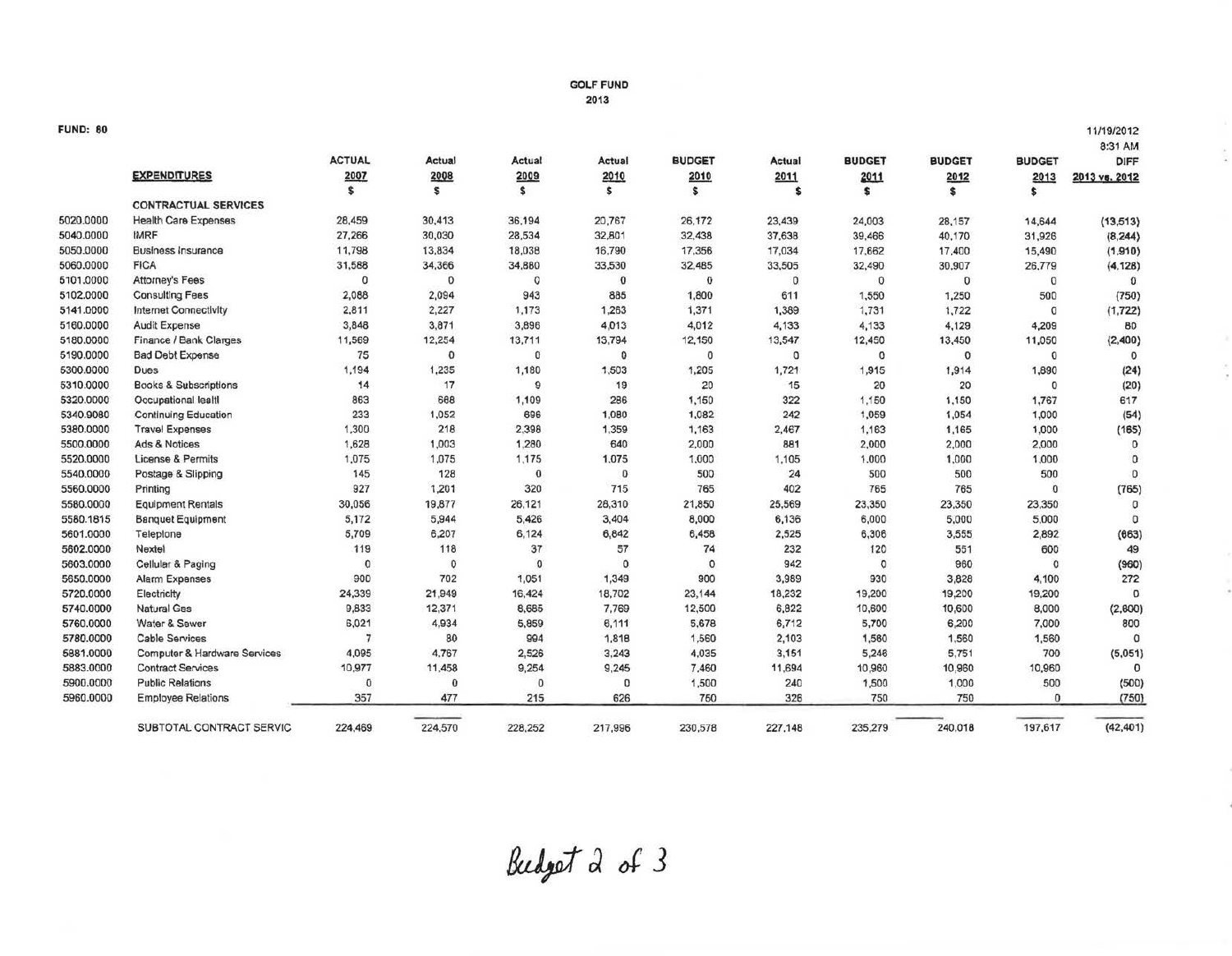## GOLF FUND 2013

11/1912012

ī

## FUND: 80

|           |                                  |                |               |             |          |               |         |               |               |               | 8:31 AM        |
|-----------|----------------------------------|----------------|---------------|-------------|----------|---------------|---------|---------------|---------------|---------------|----------------|
|           |                                  | <b>ACTUAL</b>  | <b>Actual</b> | Actual      | Actual   | <b>BUDGET</b> | Actual  | <b>BUDGET</b> | <b>BUDGET</b> | <b>BUDGET</b> | <b>DIFF</b>    |
|           | <b>EXPENDITURES</b>              | 2007           | 2008          | 2009<br>s.  | 2010     | 2010<br>s     | 2011    | 2011          | 2012          | 2013<br>s     | 2013 vs. 2012  |
|           |                                  | \$             | s             |             | \$       |               | \$      | s             | \$            |               |                |
|           | <b>CONTRACTUAL SERVICES</b>      |                |               |             |          |               |         |               |               |               |                |
| 5020.0000 | <b>Health Care Expenses</b>      | 28,459         | 30,413        | 36,194      | 20,767   | 26,172        | 23,439  | 24,003        | 28,157        | 14,644        | (13, 513)      |
| 5040.0000 | <b>IMRF</b>                      | 27,266         | 30,030        | 28,534      | 32,801   | 32,438        | 37,638  | 39,466        | 40,170        | 31,926        | (8, 244)       |
| 5050.0000 | <b>Business Insurance</b>        | 11,798         | 13,834        | 18,038      | 16,790   | 17,356        | 17,034  | 17,662        | 17,400        | 15,490        | (1,910)        |
| 5060,0000 | <b>FICA</b>                      | 31,588         | 34,366        | 34,880      | 33,530   | 32,485        | 33,505  | 32,490        | 30,907        | 26,779        | (4, 128)       |
| 5101.0000 | Attorney's Fees                  | $\theta$       | $\mathbf{0}$  | O           | $\bf{0}$ | $\theta$      | 0       | 0             | $\mathbf{0}$  | 0             | $\Omega$       |
| 5102.0000 | <b>Consulting Fees</b>           | 2,088          | 2,094         | 943         | 885      | 1,800         | 611     | 1,550         | 1,250         | 500           | (750)          |
| 5141.0000 | <b>Internet Connectivity</b>     | 2,811          | 2,227         | 1,173       | 1,263    | 1,371         | 1,389   | 1,731         | 1,722         | 0             | (1, 722)       |
| 5160.0000 | <b>Audit Expense</b>             | 3,848          | 3,871         | 3,896       | 4,013    | 4,012         | 4,133   | 4,133         | 4,129         | 4,209         | 80             |
| 5180.0000 | Finance / Bank Clarges           | 11,569         | 12,254        | 13,711      | 13,794   | 12,150        | 13,547  | 12,450        | 13,450        | 11,050        | (2, 400)       |
| 5190.0000 | <b>Bad Debt Expense</b>          | 75             | $\mathbf 0$   | $\Omega$    | $\theta$ | 0             | 0       | 0             | $\mathbf{0}$  | 0             |                |
| 5300.0000 | <b>Dues</b>                      | 1,194          | 1,235         | 1,180       | 1,503    | 1,205         | 1,721   | 1,915         | 1,914         | 1,890         | (24)           |
| 5310.0000 | <b>Books &amp; Subscriptions</b> | 14             | 17            | 9           | 19       | 20            | 15      | 20            | 20            | 0             | (20)           |
| 5320.0000 | Occupational lealtl              | 863            | 668           | 1,109       | 286      | 1,150         | 322     | 1,150         | 1,150         | 1,767         | 617            |
| 5340.9080 | <b>Continuing Education</b>      | 233            | 1,052         | 696         | 1,080    | 1,082         | 242     | 1,059         | 1,054         | 1,000         | (54)           |
| 5380.0000 | <b>Travel Expenses</b>           | 1,300          | 218           | 2,398       | 1,359    | 1,163         | 2,467   | 1,163         | 1,165         | 1,000         | (165)          |
| 5500.0000 | Ads & Notices                    | 1,628          | 1,003         | 1,280       | 640      | 2,000         | 881     | 2,000         | 2,000         | 2,000         | $\mathbf{0}$   |
| 5520.0000 | <b>License &amp; Permits</b>     | 1,075          | 1,075         | 1,175       | 1,075    | 1,000         | 1,105   | 1,000         | 1,000         | 1,000         | $^{\circ}$     |
| 5540.0000 | Postage & Slipping               | 145            | 128           | $\Omega$    | 0        | 500           | 24      | 500           | 500           | 500           | $\mathbf{0}$   |
| 5560.0000 | Printing                         | 927            | 1,201         | 320         | 715      | 765           | 402     | 765           | 765           | 0             | (765)          |
| 5580.0000 | <b>Equipment Rentals</b>         | 30,056         | 19,877        | 26,121      | 28,310   | 21,850        | 25,569  | 23,350        | 23,350        | 23,350        | $\overline{0}$ |
| 5580.1815 | <b>Banquet Equipment</b>         | 5,172          | 5,944         | 5,426       | 3,404    | 8,000         | 6,136   | 6,000         | 5,000         | 5,000         | $\Omega$       |
| 5601.0000 | Teleplone                        | 5,709          | 6,207         | 6,124       | 6,842    | 6,458         | 2,525   | 6,306         | 3,555         | 2,892         | (663)          |
| 5602.0000 | Nextel                           | 119            | 118           | 37          | 57       | 74            | 232     | 120           | 551           | 600           | 49             |
| 5603.0000 | Cellular & Paging                | $\bf{0}$       | 0             | $\Omega$    | $\Omega$ | $\circ$       | 942     | 0             | 960           | $\theta$      | (960)          |
| 5650.0000 | <b>Alarm Expenses</b>            | 900            | 702           | 1,051       | 1,349    | 900           | 3,989   | 930           | 3,828         | 4,100         | 272            |
| 5720.0000 | Electricity                      | 24,339         | 21,949        | 16,424      | 18,702   | 23,144        | 18,232  | 19,200        | 19,200        | 19,200        | $\Omega$       |
| 5740.0000 | Natural Gas                      | 9,833          | 12,371        | 8,685       | 7,769    | 12,500        | 6,822   | 10,600        | 10,600        | 8,000         | (2,600)        |
| 5760.0000 | Water & Sewer                    | 6,021          | 4,934         | 5,859       | 6,111    | 5,678         | 6,712   | 5,700         | 6,200         | 7,000         | 800            |
| 5780.0000 | <b>Cable Services</b>            | $\overline{7}$ | 80            | 994         | 1,818    | 1,560         | 2,103   | 1,560         | 1,560         | 1,560         | $\Omega$       |
| 5881.0000 | Computer & Hardware Services     | 4,095          | 4,767         | 2,526       | 3,243    | 4,035         | 3,151   | 5,246         | 5,751         | 700           | (5,051)        |
| 5883.0000 | <b>Contract Services</b>         | 10,977         | 11,458        | 9,254       | 9,245    | 7,460         | 11,694  | 10,960        | 10,960        | 10,960        | $\Omega$       |
| 5900.0000 | <b>Public Relations</b>          | $\circ$        | $\mathbf 0$   | $\mathbf 0$ | 0        | 1,500         | 240     | 1,500         | 1,000         | 500           | (500)          |
| 5960.0000 | <b>Employee Relations</b>        | 357            | 477           | 215         | 626      | 750           | 326     | 750           | 750           | $\bf{0}$      | (750)          |
|           | SUBTOTAL CONTRACT SERVIC         | 224,469        | 224,570       | 228,252     | 217,996  | 230,578       | 227,148 | 235.279       | 240,018       | 197,617       | (42, 401)      |

Budget 2 of 3